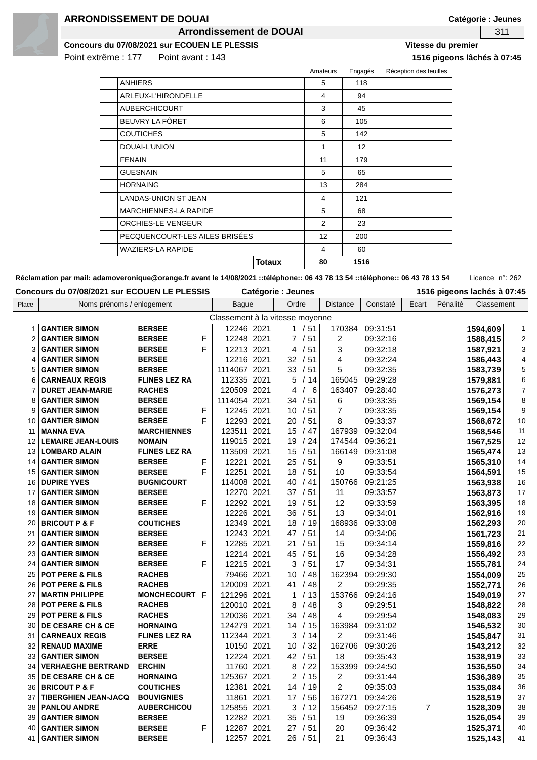

### **ARRONDISSEMENT DE DOUAI**

**Arrondissement de DOUAI 311** 

**Catégorie : Jeunes**

**Concours du 07/08/2021 sur ECOUEN LE PLESSIS Vitesse du premier**

Point extrême : 177 Point avant : 143 **1516 pigeons lâchés à 07:45**

|                                |               | Amateurs          | Engagés         | Réception des feuilles |
|--------------------------------|---------------|-------------------|-----------------|------------------------|
| <b>ANHIERS</b>                 |               | 5                 | 118             |                        |
| ARLEUX-L'HIRONDELLE            |               | 4                 | 94              |                        |
| <b>AUBERCHICOURT</b>           |               | 3                 | 45              |                        |
| BEUVRY LA FÔRET                |               | 6                 | 105             |                        |
| <b>COUTICHES</b>               |               | 5                 | 142             |                        |
| DOUAI-L'UNION                  |               | 1                 | 12 <sup>2</sup> |                        |
| <b>FENAIN</b>                  |               | 11                | 179             |                        |
| <b>GUESNAIN</b>                |               | 5                 | 65              |                        |
| <b>HORNAING</b>                |               | 13                | 284             |                        |
| LANDAS-UNION ST JEAN           |               | 4                 | 121             |                        |
| <b>MARCHIENNES-LA RAPIDE</b>   |               | 5                 | 68              |                        |
| ORCHIES-LE VENGEUR             |               | $\mathcal{P}$     | 23              |                        |
| PECQUENCOURT-LES AILES BRISÉES |               | $12 \overline{ }$ | 200             |                        |
| <b>WAZIERS-LA RAPIDE</b>       |               | 4                 | 60              |                        |
|                                | <b>Totaux</b> | 80                | 1516            |                        |

Réclamation par mail: adamoveronique@orange.fr avant le 14/08/2021 ::téléphone:: 06 43 78 13 54 ::téléphone:: 06 43 78 13 54 Licence n°: 262

| Place          | Noms prénoms / enlogement    |                      |   | <b>Bague</b>                    | Ordre               | Distance       | Constaté | Ecart          | Pénalité | Classement |                         |
|----------------|------------------------------|----------------------|---|---------------------------------|---------------------|----------------|----------|----------------|----------|------------|-------------------------|
|                |                              |                      |   |                                 |                     |                |          |                |          |            |                         |
|                |                              |                      |   | Classement à la vitesse moyenne |                     |                |          |                |          |            |                         |
| $\mathbf{1}$   | <b>GANTIER SIMON</b>         | <b>BERSEE</b>        |   | 12246 2021                      | 1 / 51              | 170384         | 09:31:51 |                |          | 1594,609   | $\mathbf{1}$            |
| $\overline{2}$ | <b>GANTIER SIMON</b>         | <b>BERSEE</b>        | F | 12248 2021                      | 7/51                | $\overline{2}$ | 09:32:16 |                |          | 1588,415   | $\overline{\mathbf{c}}$ |
| 3              | <b>GANTIER SIMON</b>         | <b>BERSEE</b>        | F | 12213 2021                      | 4 / 51              | 3              | 09:32:18 |                |          | 1587,921   | 3                       |
| 4              | <b>GANTIER SIMON</b>         | <b>BERSEE</b>        |   | 12216 2021                      | 32 / 51             | 4              | 09:32:24 |                |          | 1586,443   | $\overline{\mathbf{4}}$ |
| 5              | <b>GANTIER SIMON</b>         | <b>BERSEE</b>        |   | 1114067 2021                    | 33 / 51             | 5              | 09:32:35 |                |          | 1583,739   | 5                       |
| 6              | <b>CARNEAUX REGIS</b>        | <b>FLINES LEZ RA</b> |   | 112335 2021                     | 5/14                | 165045         | 09:29:28 |                |          | 1579,881   | 6                       |
| 7              | <b>DURET JEAN-MARIE</b>      | <b>RACHES</b>        |   | 120509 2021                     | 4<br>/6             | 163407         | 09:28:40 |                |          | 1576,273   | $\overline{7}$          |
| 8              | <b>GANTIER SIMON</b>         | <b>BERSEE</b>        |   | 1114054 2021                    | 34 / 51             | 6              | 09:33:35 |                |          | 1569,154   | 8                       |
| 9              | <b>GANTIER SIMON</b>         | <b>BERSEE</b>        | F | 12245 2021                      | 10 / 51             | $\overline{7}$ | 09:33:35 |                |          | 1569,154   | 9                       |
| 10             | <b>GANTIER SIMON</b>         | <b>BERSEE</b>        | F | 12293 2021                      | 20/51               | 8              | 09:33:37 |                |          | 1568,672   | $10$                    |
| 11             | <b>MANNA EVA</b>             | <b>MARCHIENNES</b>   |   | 123511 2021                     | 15 / 47             | 167939         | 09:32:04 |                |          | 1568,546   | 11                      |
| 12             | <b>LEMAIRE JEAN-LOUIS</b>    | <b>NOMAIN</b>        |   | 119015 2021                     | 19 / 24             | 174544         | 09:36:21 |                |          | 1567,525   | 12                      |
| 13             | <b>LOMBARD ALAIN</b>         | <b>FLINES LEZ RA</b> |   | 113509 2021                     | 15 / 51             | 166149         | 09:31:08 |                |          | 1565,474   | 13                      |
| 14             | <b>GANTIER SIMON</b>         | <b>BERSEE</b>        | F | 12221 2021                      | 25/51               | 9              | 09:33:51 |                |          | 1565,310   | 14                      |
| 15             | <b>GANTIER SIMON</b>         | <b>BERSEE</b>        | F | 12251 2021                      | 18 / 51             | 10             | 09:33:54 |                |          | 1564,591   | 15                      |
| 16             | <b>DUPIRE YVES</b>           | <b>BUGNICOURT</b>    |   | 114008 2021                     | 40/41               | 150766         | 09:21:25 |                |          | 1563,938   | 16                      |
| 17             | <b>GANTIER SIMON</b>         | <b>BERSEE</b>        |   | 12270 2021                      | 37 / 51             | 11             | 09:33:57 |                |          | 1563,873   | 17                      |
| 18             | <b>GANTIER SIMON</b>         | <b>BERSEE</b>        | F | 12292 2021                      | 19<br>/51           | 12             | 09:33:59 |                |          | 1563,395   | 18                      |
| 19             | <b>GANTIER SIMON</b>         | <b>BERSEE</b>        |   | 12226 2021                      | 36<br>/51           | 13             | 09:34:01 |                |          | 1562,916   | 19                      |
| 20             | <b>BRICOUT P &amp; F</b>     | <b>COUTICHES</b>     |   | 12349 2021                      | 18 / 19             | 168936         | 09:33:08 |                |          | 1562,293   | 20                      |
| 21             | <b>GANTIER SIMON</b>         | <b>BERSEE</b>        |   | 12243 2021                      | 47 / 51             | 14             | 09:34:06 |                |          | 1561,723   | 21                      |
| 22             | <b>GANTIER SIMON</b>         | <b>BERSEE</b>        | F | 12285 2021                      | 21 / 51             | 15             | 09:34:14 |                |          | 1559,816   | 22                      |
| 23             | <b>GANTIER SIMON</b>         | <b>BERSEE</b>        |   | 12214 2021                      | 45 / 51             | 16             | 09:34:28 |                |          | 1556,492   | 23                      |
| 24             | <b>GANTIER SIMON</b>         | <b>BERSEE</b>        | F | 12215 2021                      | 3/51                | 17             | 09:34:31 |                |          | 1555,781   | 24                      |
| 25             | <b>POT PERE &amp; FILS</b>   | <b>RACHES</b>        |   | 79466 2021                      | 10 / 48             | 162394         | 09:29:30 |                |          | 1554,009   | 25                      |
| 26             | <b>POT PERE &amp; FILS</b>   | <b>RACHES</b>        |   | 120009 2021                     | 41 / 48             | 2              | 09:29:35 |                |          | 1552,771   | 26                      |
| 27             | <b>MARTIN PHILIPPE</b>       | MONCHECOURT F        |   | 121296 2021                     | $\mathbf{1}$<br>/13 | 153766         | 09:24:16 |                |          | 1549,019   | 27                      |
| 28             | <b>POT PERE &amp; FILS</b>   | <b>RACHES</b>        |   | 120010 2021                     | 8<br>/ 48           | 3              | 09:29:51 |                |          | 1548,822   | 28                      |
| 29             | <b>POT PERE &amp; FILS</b>   | <b>RACHES</b>        |   | 120036 2021                     | 34<br>/ 48          | 4              | 09:29:54 |                |          | 1548,083   | 29                      |
| 30             | DE CESARE CH & CE            | <b>HORNAING</b>      |   | 124279 2021                     | 14 / 15             | 163984         | 09:31:02 |                |          | 1546,532   | 30                      |
| 31             | <b>CARNEAUX REGIS</b>        | <b>FLINES LEZ RA</b> |   | 112344 2021                     | 3<br>/14            | $\overline{2}$ | 09:31:46 |                |          | 1545,847   | 31                      |
| 32             | <b>RENAUD MAXIME</b>         | <b>ERRE</b>          |   | 10150 2021                      | 10/32               | 162706         | 09:30:26 |                |          | 1543,212   | 32                      |
| 33             | <b>GANTIER SIMON</b>         | <b>BERSEE</b>        |   | 12224 2021                      | 42 / 51             | 18             | 09:35:43 |                |          | 1538,919   | 33                      |
| 34             | <b>VERHAEGHE BERTRAND</b>    | <b>ERCHIN</b>        |   | 11760 2021                      | 8<br>/22            | 153399         | 09:24:50 |                |          | 1536,550   | 34                      |
| 35             | <b>DE CESARE CH &amp; CE</b> | <b>HORNAING</b>      |   | 125367 2021                     | 2/15                | $\overline{c}$ | 09:31:44 |                |          | 1536,389   | 35                      |
| 36             | <b>BRICOUT P &amp; F</b>     | <b>COUTICHES</b>     |   | 12381 2021                      | 14 / 19             | $\overline{2}$ | 09:35:03 |                |          | 1535,084   | 36                      |
| 37             | <b>TIBERGHIEN JEAN-JACQ</b>  | <b>BOUVIGNIES</b>    |   | 11861 2021                      | 17 / 56             | 167271         | 09:34:26 |                |          | 1528,519   | 37                      |
| 38             | <b>PANLOU ANDRE</b>          | <b>AUBERCHICOU</b>   |   | 125855 2021                     | 3<br>/ 12           | 156452         | 09:27:15 | $\overline{7}$ |          | 1528,309   | 38                      |
| 39             | <b>GANTIER SIMON</b>         | <b>BERSEE</b>        |   | 12282 2021                      | 35 / 51             | 19             | 09:36:39 |                |          | 1526,054   | 39                      |
| 40             | <b>GANTIER SIMON</b>         | <b>BERSEE</b>        | F | 12287 2021                      | 27/51               | 20             | 09:36:42 |                |          | 1525,371   | 40                      |
| 41             | <b>GANTIER SIMON</b>         | <b>BERSEE</b>        |   | 12257 2021                      | 26/51               | 21             | 09:36:43 |                |          | 1525,143   | 41                      |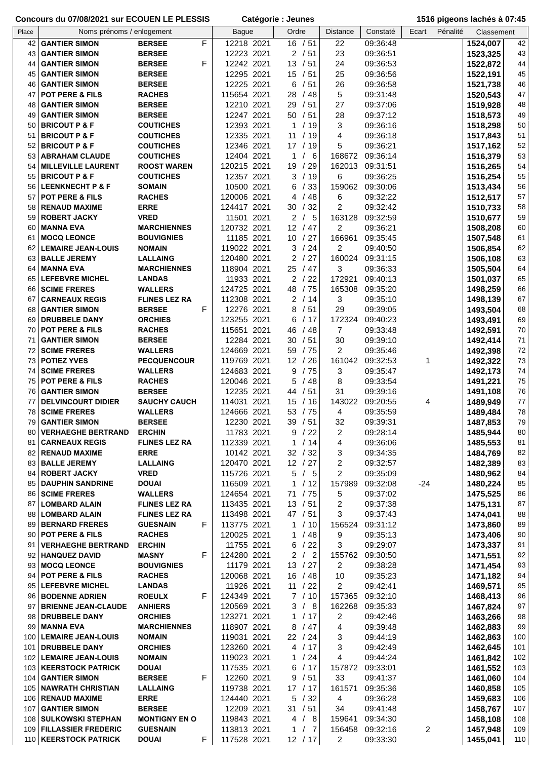| Concours du 07/08/2021 sur ECOUEN LE PLESSIS |                                                    |                                        |             | Catégorie : Jeunes        |                     |                  | 1516 pigeons lachés à 07:45 |       |          |                      |            |
|----------------------------------------------|----------------------------------------------------|----------------------------------------|-------------|---------------------------|---------------------|------------------|-----------------------------|-------|----------|----------------------|------------|
| Place                                        | Noms prénoms / enlogement                          |                                        |             | <b>Bague</b>              | Ordre               | <b>Distance</b>  | Constaté                    | Ecart | Pénalité | Classement           |            |
| 42                                           | <b>GANTIER SIMON</b>                               | <b>BERSEE</b>                          | $\mathsf F$ | 12218 2021                | 16 / 51             | 22               | 09:36:48                    |       |          | 1524,007             | 42         |
| 43                                           | <b>GANTIER SIMON</b>                               | <b>BERSEE</b>                          |             | 12223 2021                | 2/51                | 23               | 09:36:51                    |       |          | 1523,325             | 43         |
| 44                                           | <b>GANTIER SIMON</b>                               | <b>BERSEE</b>                          | F           | 12242 2021                | 13 / 51             | 24               | 09:36:53                    |       |          | 1522,872             | 44         |
| 45                                           | <b>GANTIER SIMON</b>                               | <b>BERSEE</b>                          |             | 12295 2021                | 15 / 51             | 25               | 09:36:56                    |       |          | 1522,191             | 45         |
| 46                                           | <b>GANTIER SIMON</b>                               | <b>BERSEE</b>                          |             | 12225 2021                | 6 / 51              | 26               | 09:36:58                    |       |          | 1521,738             | 46         |
| 47                                           | POT PERE & FILS                                    | <b>RACHES</b>                          |             | 115654 2021               | 28<br>/48           | 5                | 09:31:48                    |       |          | 1520,543             | 47         |
| 48                                           | <b>GANTIER SIMON</b>                               | <b>BERSEE</b>                          |             | 12210 2021                | 29<br>/51           | 27               | 09:37:06                    |       |          | 1519,928             | 48         |
| 49                                           | <b>GANTIER SIMON</b>                               | <b>BERSEE</b>                          |             | 12247 2021                | 50 / 51             | 28               | 09:37:12                    |       |          | 1518,573             | 49         |
| 50                                           | <b>BRICOUT P &amp; F</b>                           | <b>COUTICHES</b>                       |             | 12393 2021                | 1 / 19              | 3                | 09:36:16                    |       |          | 1518,298             | 50         |
| 51                                           | <b>BRICOUT P &amp; F</b>                           | <b>COUTICHES</b>                       |             | 12335 2021                | 11 / 19             | 4                | 09:36:18                    |       |          | 1517,843             | 51         |
| 52                                           | <b>BRICOUT P &amp; F</b>                           | <b>COUTICHES</b>                       |             | 12346 2021                | 17 / 19             | 5                | 09:36:21                    |       |          | 1517,162             | 52         |
| 53                                           | <b>ABRAHAM CLAUDE</b><br><b>MILLEVILLE LAURENT</b> | <b>COUTICHES</b><br><b>ROOST WAREN</b> |             | 12404 2021                | /6<br>1<br>19 / 29  | 168672<br>162013 | 09:36:14                    |       |          | 1516,379             | 53<br>54   |
| 54<br>55                                     | <b>BRICOUT P &amp; F</b>                           | <b>COUTICHES</b>                       |             | 120215 2021<br>12357 2021 | 3 / 19              | 6                | 09:31:51<br>09:36:25        |       |          | 1516,265<br>1516,254 | 55         |
| 56                                           | <b>LEENKNECHT P &amp; F</b>                        | <b>SOMAIN</b>                          |             | 10500 2021                | /33<br>6            | 159062           | 09:30:06                    |       |          | 1513,434             | 56         |
| 57                                           | <b>POT PERE &amp; FILS</b>                         | <b>RACHES</b>                          |             | 120006 2021               | /48<br>4            | 6                | 09:32:22                    |       |          | 1512,517             | 57         |
| 58                                           | <b>RENAUD MAXIME</b>                               | <b>ERRE</b>                            |             | 124417 2021               | 30 / 32             | $\overline{c}$   | 09:32:42                    |       |          | 1510,733             | 58         |
| 59                                           | <b>ROBERT JACKY</b>                                | <b>VRED</b>                            |             | 11501 2021                | 2/5                 | 163128           | 09:32:59                    |       |          | 1510,677             | 59         |
| 60                                           | <b>MANNA EVA</b>                                   | <b>MARCHIENNES</b>                     |             | 120732 2021               | 12 / 47             | 2                | 09:36:21                    |       |          | 1508,208             | 60         |
| 61                                           | <b>MOCQ LEONCE</b>                                 | <b>BOUVIGNIES</b>                      |             | 11185 2021                | 10 / 27             | 166961           | 09:35:45                    |       |          | 1507,548             | 61         |
| 62                                           | <b>LEMAIRE JEAN-LOUIS</b>                          | <b>NOMAIN</b>                          |             | 119022 2021               | 3 / 24              | 2                | 09:40:50                    |       |          | 1506,854             | 62         |
| 63                                           | <b>BALLE JEREMY</b>                                | <b>LALLAING</b>                        |             | 120480 2021               | 2 / 27              | 160024           | 09:31:15                    |       |          | 1506,108             | 63         |
| 64                                           | <b>MANNA EVA</b>                                   | <b>MARCHIENNES</b>                     |             | 118904 2021               | 25 / 47             | 3                | 09:36:33                    |       |          | 1505,504             | 64         |
| 65                                           | <b>LEFEBVRE MICHEL</b>                             | <b>LANDAS</b>                          |             | 11933 2021                | 2/22                | 172921           | 09:40:13                    |       |          | 1501,037             | 65         |
| 66                                           | <b>SCIME FRERES</b>                                | <b>WALLERS</b>                         |             | 124725 2021               | 48<br>/75           | 165308           | 09:35:20                    |       |          | 1498,259             | 66         |
| 67                                           | <b>CARNEAUX REGIS</b>                              | <b>FLINES LEZ RA</b>                   |             | 112308 2021               | 2/14                | 3                | 09:35:10                    |       |          | 1498,139             | 67         |
| 68                                           | <b>GANTIER SIMON</b>                               | <b>BERSEE</b>                          | F           | 12276 2021                | 8<br>/51            | 29               | 09:39:05                    |       |          | 1493,504             | 68         |
| 69                                           | <b>DRUBBELE DANY</b>                               | <b>ORCHIES</b>                         |             | 123255 2021               | 6<br>/17            | 172324           | 09:40:23                    |       |          | 1493,491             | 69         |
| 70                                           | POT PERE & FILS                                    | <b>RACHES</b>                          |             | 115651 2021               | /48<br>46           | $\overline{7}$   | 09:33:48                    |       |          | 1492,591             | 70         |
| 71                                           | <b>GANTIER SIMON</b>                               | <b>BERSEE</b>                          |             | 12284 2021                | 30<br>/ 51          | 30               | 09:39:10                    |       |          | 1492,414             | 71         |
| 72                                           | <b>SCIME FRERES</b>                                | <b>WALLERS</b>                         |             | 124669 2021               | 59 / 75             | $\overline{c}$   | 09:35:46                    |       |          | 1492,398             | $72\,$     |
| 73                                           | <b>POTIEZ YVES</b>                                 | <b>PECQUENCOUR</b>                     |             | 119769 2021               | 12 / 26             | 161042           | 09:32:53                    | 1     |          | 1492,322             | $73\,$     |
| 74                                           | <b>SCIME FRERES</b>                                | <b>WALLERS</b>                         |             | 124683 2021               | 9<br>/75            | 3                | 09:35:47                    |       |          | 1492,173             | 74         |
| 75                                           | <b>POT PERE &amp; FILS</b>                         | <b>RACHES</b>                          |             | 120046 2021               | 5<br>/48            | 8                | 09:33:54                    |       |          | 1491,221             | 75         |
| 76                                           | <b>GANTIER SIMON</b>                               | <b>BERSEE</b>                          |             | 12235 2021                | 44 / 51             | 31               | 09:39:16                    |       |          | 1491,108             | ${\bf 76}$ |
| 77                                           | <b>DELVINCOURT DIDIER</b>                          | <b>SAUCHY CAUCH</b>                    |             | 2021<br>114031            | 15<br>/16           | 143022           | 09:20:55                    | 4     |          | 1489,949             | 77         |
| 78                                           | <b>SCIME FRERES</b>                                | <b>WALLERS</b>                         |             | 124666 2021               | 53 / 75             | 4                | 09:35:59                    |       |          | 1489,484             | 78         |
| 79                                           | <b>GANTIER SIMON</b>                               | <b>BERSEE</b>                          |             | 12230 2021                | 39 / 51             | 32               | 09:39:31                    |       |          | 1487,853             | 79         |
| 80                                           | <b>VERHAEGHE BERTRAND</b>                          | <b>ERCHIN</b>                          |             | 11783 2021                | 9/22                | 2                | 09:28:14                    |       |          | 1485,944             | 80         |
| 81                                           | <b>CARNEAUX REGIS</b>                              | <b>FLINES LEZ RA</b>                   |             | 112339 2021               | 1<br>/14            | 4                | 09:36:06                    |       |          | 1485,553             | 81         |
| 82<br>83                                     | <b>RENAUD MAXIME</b><br><b>BALLE JEREMY</b>        | <b>ERRE</b><br><b>LALLAING</b>         |             | 10142 2021<br>120470 2021 | 32 / 32<br>12 / 27  | 3<br>2           | 09:34:35<br>09:32:57        |       |          | 1484,769             | 82<br>83   |
|                                              | 84 ROBERT JACKY                                    | <b>VRED</b>                            |             | 115726 2021               | 5<br>/5             | $\overline{c}$   | 09:35:09                    |       |          | 1482,389<br>1480,962 | 84         |
| 85                                           | <b>DAUPHIN SANDRINE</b>                            | <b>DOUAI</b>                           |             | 116509 2021               | /12<br>$\mathbf{1}$ | 157989           | 09:32:08                    | $-24$ |          | 1480,224             | 85         |
| 86                                           | <b>SCIME FRERES</b>                                | <b>WALLERS</b>                         |             | 124654 2021               | 71 / 75             | 5                | 09:37:02                    |       |          | 1475,525             | 86         |
| 87                                           | <b>LOMBARD ALAIN</b>                               | <b>FLINES LEZ RA</b>                   |             | 113435 2021               | 13 / 51             | 2                | 09:37:38                    |       |          | 1475,131             | 87         |
| 88                                           | <b>LOMBARD ALAIN</b>                               | <b>FLINES LEZ RA</b>                   |             | 113498 2021               | 47 / 51             | 3                | 09:37:43                    |       |          | 1474,041             | 88         |
|                                              | 89 BERNARD FRERES                                  | <b>GUESNAIN</b>                        | F.          | 113775 2021               | 1 / 10              | 156524           | 09:31:12                    |       |          | 1473,860             | 89         |
| 90                                           | <b>POT PERE &amp; FILS</b>                         | <b>RACHES</b>                          |             | 120025 2021               | 1 / 48              | 9                | 09:35:13                    |       |          | 1473,406             | 90         |
| 91                                           | <b>VERHAEGHE BERTRAND</b>                          | <b>ERCHIN</b>                          |             | 11755 2021                | 6/22                | 3                | 09:29:07                    |       |          | 1473,337             | 91         |
|                                              | 92   HANQUEZ DAVID                                 | <b>MASNY</b>                           | F           | 124280 2021               | 2/2                 | 155762           | 09:30:50                    |       |          | 1471,551             | 92         |
|                                              | 93 MOCQ LEONCE                                     | <b>BOUVIGNIES</b>                      |             | 11179 2021                | 13 / 27             | 2                | 09:38:28                    |       |          | 1471,454             | 93         |
|                                              | 94 POT PERE & FILS                                 | <b>RACHES</b>                          |             | 120068 2021               | 16 / 48             | 10               | 09:35:23                    |       |          | 1471,182             | 94         |
|                                              | 95 LEFEBVRE MICHEL                                 | <b>LANDAS</b>                          |             | 11926 2021                | 11 / 22             | 2                | 09:42:41                    |       |          | 1469,571             | 95         |
|                                              | 96   BODENNE ADRIEN                                | <b>ROEULX</b>                          | F           | 124349 2021               | 7/10                | 157365           | 09:32:10                    |       |          | 1468,413             | 96         |
|                                              | 97 BRIENNE JEAN-CLAUDE                             | <b>ANHIERS</b>                         |             | 120569 2021               | 3 / 8               | 162268           | 09:35:33                    |       |          | 1467,824             | 97         |
| 98                                           | <b>DRUBBELE DANY</b>                               | <b>ORCHIES</b>                         |             | 123271 2021               | 1 / 17              | 2                | 09:42:46                    |       |          | 1463,266             | 98         |
| 99                                           | <b>MANNA EVA</b>                                   | <b>MARCHIENNES</b>                     |             | 118907 2021               | 8<br>/ 47           | 4                | 09:39:48                    |       |          | 1462,883             | 99         |
| 100                                          | <b>LEMAIRE JEAN-LOUIS</b>                          | <b>NOMAIN</b>                          |             | 119031 2021               | 22 / 24             | 3                | 09:44:19                    |       |          | 1462,863             | 100        |
| 101                                          | <b>DRUBBELE DANY</b>                               | <b>ORCHIES</b>                         |             | 123260 2021               | 4 / 17              | 3                | 09:42:49                    |       |          | 1462,645             | 101        |
| 102                                          | <b>LEMAIRE JEAN-LOUIS</b>                          | <b>NOMAIN</b>                          |             | 119023 2021               | /24<br>1            | 4                | 09:44:24                    |       |          | 1461,842             | 102        |
| 104                                          | 103   KEERSTOCK PATRICK<br><b>GANTIER SIMON</b>    | <b>DOUAI</b><br><b>BERSEE</b>          | F           | 117535 2021<br>12260 2021 | 6/17<br>/51<br>9    | 33               | 157872 09:33:01<br>09:41:37 |       |          | 1461,552             | 103<br>104 |
| 105                                          | <b>NAWRATH CHRISTIAN</b>                           | <b>LALLAING</b>                        |             | 119738 2021               | 17/17               | 161571           | 09:35:36                    |       |          | 1461,060<br>1460,858 | 105        |
|                                              | 106   RENAUD MAXIME                                | <b>ERRE</b>                            |             | 124440 2021               | 5/32                | 4                | 09:36:28                    |       |          | 1459,683             | 106        |
| 107                                          | <b>GANTIER SIMON</b>                               | <b>BERSEE</b>                          |             | 12209 2021                | 31 / 51             | 34               | 09:41:48                    |       |          | 1458,767             | 107        |
| 108                                          | <b>SULKOWSKI STEPHAN</b>                           | <b>MONTIGNY EN O</b>                   |             | 119843 2021               | 4/8                 | 159641           | 09:34:30                    |       |          | 1458,108             | 108        |
| 109                                          | <b>FILLASSIER FREDERIC</b>                         | <b>GUESNAIN</b>                        |             | 113813 2021               | /7<br>1             | 156458           | 09:32:16                    | 2     |          | 1457,948             | 109        |
|                                              | 110   KEERSTOCK PATRICK                            | <b>DOUAI</b>                           | F.          | 117528 2021               | 12 / 17             | 2                | 09:33:30                    |       |          | 1455,041             | 110        |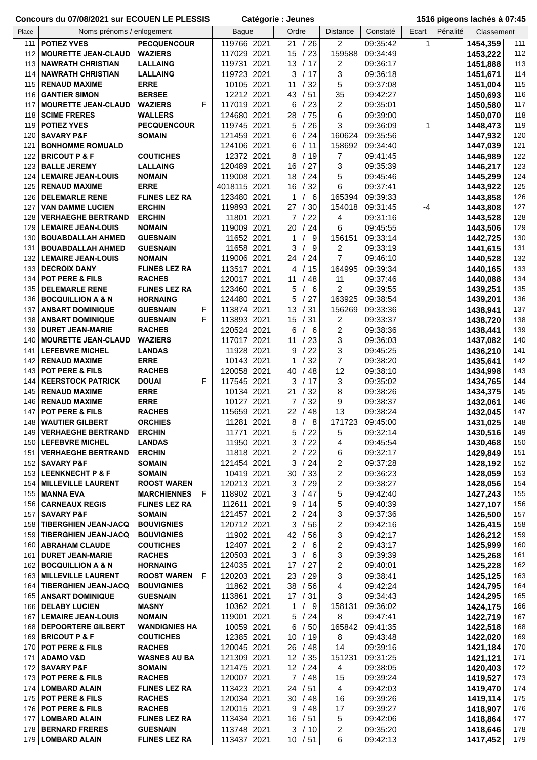|            | CONCOUTS OU 07/00/2021 SUI ECODEN LE FLESSIS         |                                              |    | Calegorie . Jedites        |                |                    |                              |                      |                   | <b>USID PIGEOIIS IQUIES Q UT.43</b> |            |
|------------|------------------------------------------------------|----------------------------------------------|----|----------------------------|----------------|--------------------|------------------------------|----------------------|-------------------|-------------------------------------|------------|
| Place      | Noms prénoms / enlogement                            |                                              |    | <b>Bague</b>               | Ordre          |                    | <b>Distance</b>              | Constaté             | Ecart<br>Pénalité | Classement                          |            |
| 111        | <b>POTIEZ YVES</b>                                   | <b>PECQUENCOUR</b>                           |    | 119766 2021                |                | 21 / 26            | $\overline{2}$               | 09:35:42             | 1                 | 1454,359                            | 111        |
| 112        | <b>MOURETTE JEAN-CLAUD</b>                           | <b>WAZIERS</b>                               |    | 117029 2021                |                | 15 / 23            | 159588                       | 09:34:49             |                   | 1453,222                            | 112        |
| 113        | <b>NAWRATH CHRISTIAN</b>                             | <b>LALLAING</b>                              |    | 119731 2021                |                | 13 / 17            | 2                            | 09:36:17             |                   | 1451,888                            | 113        |
| 114        | <b>NAWRATH CHRISTIAN</b>                             | <b>LALLAING</b>                              |    | 119723 2021                | 3              | /17                | 3                            | 09:36:18             |                   | 1451,671                            | 114        |
|            | 115   RENAUD MAXIME                                  | <b>ERRE</b>                                  |    | 10105 2021                 | 11             | /32                | 5                            | 09:37:08             |                   | 1451,004                            | 115        |
|            | 116   GANTIER SIMON                                  | <b>BERSEE</b>                                |    | 12212 2021                 | 43             | /51                | 35                           | 09:42:27             |                   | 1450,693                            | 116        |
| 117        | <b>MOURETTE JEAN-CLAUD</b>                           | F<br><b>WAZIERS</b>                          |    | 117019 2021                | 6              | /23                | 2                            | 09:35:01             |                   | 1450,580                            | 117        |
| 118        | <b>SCIME FRERES</b>                                  | <b>WALLERS</b>                               |    | 124680 2021                | 28             | /75                | 6                            | 09:39:00             |                   | 1450,070                            | 118        |
| 119        | <b>POTIEZ YVES</b>                                   | <b>PECQUENCOUR</b>                           |    | 119745 2021                | 5              | /26                | 3                            | 09:36:09             | 1                 | 1448,473                            | 119        |
| 120        | <b>SAVARY P&amp;F</b>                                | <b>SOMAIN</b>                                |    | 121459 2021                | 6              | /24                |                              | 160624 09:35:56      |                   | 1447,932                            | 120        |
| 121        | <b>BONHOMME ROMUALD</b>                              |                                              |    | 124106 2021                | 6              | /11                | 158692                       | 09:34:40             |                   | 1447,039                            | 121        |
| 122        | <b>BRICOUT P &amp; F</b>                             | <b>COUTICHES</b>                             |    | 12372 2021                 | 8              | /19                | 7                            | 09:41:45             |                   | 1446,989                            | 122        |
|            | 123 BALLE JEREMY                                     | <b>LALLAING</b>                              |    | 120489 2021<br>119008 2021 | 16<br>18       | /27<br>/24         | 3<br>5                       | 09:35:39             |                   | 1446,217                            | 123<br>124 |
|            | 124   LEMAIRE JEAN-LOUIS<br>125   RENAUD MAXIME      | <b>NOMAIN</b><br><b>ERRE</b>                 |    | 4018115 2021               | 16             | /32                | 6                            | 09:45:46<br>09:37:41 |                   | 1445,299<br>1443,922                | 125        |
| 126        | <b>DELEMARLE RENE</b>                                | <b>FLINES LEZ RA</b>                         |    | 123480 2021                | $\mathbf 1$    | 6                  | 165394                       | 09:39:33             |                   | 1443,858                            | 126        |
| 127        | <b>VAN DAMME LUCIEN</b>                              | <b>ERCHIN</b>                                |    | 119893 2021                |                | 27 / 30            | 154018                       | 09:31:45             | -4                | 1443,808                            | 127        |
| 128        | <b>VERHAEGHE BERTRAND</b>                            | <b>ERCHIN</b>                                |    | 11801 2021                 |                | 7/22               | 4                            | 09:31:16             |                   | 1443,528                            | 128        |
| 129        | <b>LEMAIRE JEAN-LOUIS</b>                            | <b>NOMAIN</b>                                |    | 119009 2021                | 20             | /24                | 6                            | 09:45:55             |                   | 1443,506                            | 129        |
| 130        | <b>BOUABDALLAH AHMED</b>                             | <b>GUESNAIN</b>                              |    | 11652 2021                 | $\mathbf{1}$   | - 9                | 156151                       | 09:33:14             |                   | 1442,725                            | 130        |
| 131        | <b>BOUABDALLAH AHMED</b>                             | <b>GUESNAIN</b>                              |    | 11658 2021                 | 3              | - 9<br>$\prime$    | 2                            | 09:33:19             |                   | 1441,615                            | 131        |
| 132        | <b>LEMAIRE JEAN-LOUIS</b>                            | <b>NOMAIN</b>                                |    | 119006 2021                |                | 24 / 24            | $\overline{7}$               | 09:46:10             |                   | 1440,528                            | 132        |
|            | 133   DECROIX DANY                                   | <b>FLINES LEZ RA</b>                         |    | 113517 2021                |                | 4 / 15             | 164995                       | 09:39:34             |                   | 1440,165                            | 133        |
| 134        | <b>POT PERE &amp; FILS</b>                           | <b>RACHES</b>                                |    | 120017 2021                | 11             | / 48               | 11                           | 09:37:46             |                   | 1440,088                            | 134        |
|            | 135 DELEMARLE RENE                                   | <b>FLINES LEZ RA</b>                         |    | 123460 2021                | 5              | - 6<br>$\prime$    | $\overline{c}$               | 09:39:55             |                   | 1439,251                            | 135        |
|            | 136 BOCQUILLION A & N                                | <b>HORNAING</b>                              |    | 124480 2021                | 5              | /27                | 163925                       | 09:38:54             |                   | 1439,201                            | 136        |
| 137        | <b>ANSART DOMINIQUE</b>                              | <b>GUESNAIN</b><br>F<br><b>GUESNAIN</b><br>F |    | 113874 2021                | 13             | /31                | 156269                       | 09:33:36             |                   | 1438,941                            | 137        |
| 138<br>139 | <b>ANSART DOMINIQUE</b><br><b>DURET JEAN-MARIE</b>   | <b>RACHES</b>                                |    | 113893 2021<br>120524 2021 | 15<br>6        | /31<br>/6          | 2<br>2                       | 09:33:37<br>09:38:36 |                   | 1438,720                            | 138<br>139 |
| 140        | <b>MOURETTE JEAN-CLAUD</b>                           | <b>WAZIERS</b>                               |    | 117017 2021                | 11             | /23                | 3                            | 09:36:03             |                   | 1438,441<br>1437,082                | 140        |
| 141        | <b>LEFEBVRE MICHEL</b>                               | <b>LANDAS</b>                                |    | 11928 2021                 | 9              | /22                | 3                            | 09:45:25             |                   | 1436,210                            | 141        |
|            | 142   RENAUD MAXIME                                  | <b>ERRE</b>                                  |    | 10143 2021                 | 1              | /32                | $\overline{7}$               | 09:38:20             |                   | 1435,641                            | 142        |
|            | 143   POT PERE & FILS                                | <b>RACHES</b>                                |    | 120058 2021                | 40             | /48                | 12                           | 09:38:10             |                   | 1434,998                            | 143        |
| 144        | <b>KEERSTOCK PATRICK</b>                             | F<br><b>DOUAI</b>                            |    | 117545 2021                | 3              | /17                | 3                            | 09:35:02             |                   | 1434,765                            | 144        |
| 145        | <b>RENAUD MAXIME</b>                                 | <b>ERRE</b>                                  |    | 10134 2021                 | 21             | /32                | 8                            | 09:38:26             |                   | 1434,375                            | 145        |
| 146        | <b>RENAUD MAXIME</b>                                 | <b>ERRE</b>                                  |    | 10127 2021                 |                | 7/32               | 9                            | 09:38:37             |                   | 1432,061                            | 146        |
| 147        | <b>POT PERE &amp; FILS</b>                           | <b>RACHES</b>                                |    | 115659 2021                |                | 22 / 48            | 13                           | 09:38:24             |                   | 1432,045                            | 147        |
|            | 148 WAUTIER GILBERT                                  | <b>ORCHIES</b>                               |    | 11281 2021                 | 8 /            | 8                  | 171723                       | 09:45:00             |                   | 1431,025                            | 148        |
|            | 149   VERHAEGHE BERTRAND                             | <b>ERCHIN</b>                                |    | 11771 2021                 |                | 5/22               | 5                            | 09:32:14             |                   | 1430,516                            | 149        |
|            | 150 LEFEBVRE MICHEL                                  | <b>LANDAS</b>                                |    | 11950 2021                 |                | 3/22               | 4                            | 09:45:54             |                   | 1430,468                            | 150        |
|            | 151   VERHAEGHE BERTRAND<br>152   SAVARY P&F         | <b>ERCHIN</b>                                |    | 11818 2021                 | 3              | 2/22<br>/24        | 6                            | 09:32:17<br>09:37:28 |                   | 1429,849                            | 151<br>152 |
|            | 153 LEENKNECHT P & F                                 | <b>SOMAIN</b><br><b>SOMAIN</b>               |    | 121454 2021<br>10419 2021  | 30             | /33                | 2<br>2                       | 09:36:23             |                   | 1428,192<br>1428,059                | 153        |
|            | 154 MILLEVILLE LAURENT                               | <b>ROOST WAREN</b>                           |    | 120213 2021                |                | 3 / 29             | 2                            | 09:38:27             |                   | 1428,056                            | 154        |
|            | 155   MANNA EVA                                      | <b>MARCHIENNES</b>                           | F. | 118902 2021                | 3              | / 47               | 5                            | 09:42:40             |                   | 1427,243                            | 155        |
|            | 156   CARNEAUX REGIS                                 | <b>FLINES LEZ RA</b>                         |    | 112611 2021                |                | 9 / 14             | 5                            | 09:40:39             |                   | 1427,107                            | 156        |
| 157        | <b>SAVARY P&amp;F</b>                                | <b>SOMAIN</b>                                |    | 121457 2021                |                | 2/24               | 3                            | 09:37:36             |                   | 1426,500                            | 157        |
| 158        | <b>TIBERGHIEN JEAN-JACQ</b>                          | <b>BOUVIGNIES</b>                            |    | 120712 2021                | 3              | /56                | $\overline{\mathbf{c}}$      | 09:42:16             |                   | 1426,415                            | 158        |
| 159        | <b>TIBERGHIEN JEAN-JACQ</b>                          | <b>BOUVIGNIES</b>                            |    | 11902 2021                 |                | 42 / 56            | 3                            | 09:42:17             |                   | 1426,212                            | 159        |
|            | 160   ABRAHAM CLAUDE                                 | <b>COUTICHES</b>                             |    | 12407 2021                 | $\overline{2}$ | - 6                | $\overline{c}$               | 09:43:17             |                   | 1425,999                            | 160        |
|            | 161   DURET JEAN-MARIE                               | <b>RACHES</b>                                |    | 120503 2021                | 3              | /6                 | 3                            | 09:39:39             |                   | 1425,268                            | 161        |
|            | 162 BOCQUILLION A & N                                | <b>HORNAING</b>                              |    | 124035 2021                |                | 17 / 27            | 2                            | 09:40:01             |                   | 1425,228                            | 162        |
|            | 163   MILLEVILLE LAURENT                             | <b>ROOST WAREN</b><br>-F                     |    | 120203 2021                |                | 23 / 29            | 3                            | 09:38:41             |                   | 1425,125                            | 163        |
|            | 164   TIBERGHIEN JEAN-JACQ<br>165   ANSART DOMINIQUE | <b>BOUVIGNIES</b><br><b>GUESNAIN</b>         |    | 11862 2021<br>113861 2021  |                | 38 / 56<br>17 / 31 | 4<br>3                       | 09:42:24<br>09:34:43 |                   | 1424,795                            | 164<br>165 |
|            | 166   DELABY LUCIEN                                  | <b>MASNY</b>                                 |    | 10362 2021                 |                | 1/9                | 158131                       | 09:36:02             |                   | 1424,295<br>1424,175                | 166        |
| 167        | <b>LEMAIRE JEAN-LOUIS</b>                            | <b>NOMAIN</b>                                |    | 119001 2021                |                | 5/24               | 8                            | 09:47:41             |                   | 1422,719                            | 167        |
|            | 168 DEPOORTERE GILBERT                               | <b>WANDIGNIES HA</b>                         |    | 10059 2021                 | 6              | /50                |                              | 165842 09:41:35      |                   | 1422,518                            | 168        |
|            | 169 BRICOUT P & F                                    | <b>COUTICHES</b>                             |    | 12385 2021                 |                | 10 / 19            | 8                            | 09:43:48             |                   | 1422,020                            | 169        |
|            | 170 POT PERE & FILS                                  | <b>RACHES</b>                                |    | 120045 2021                |                | 26 / 48            | 14                           | 09:39:16             |                   | 1421,184                            | 170        |
| 171        | <b>ADAMO V&amp;D</b>                                 | <b>WASNES AU BA</b>                          |    | 121309 2021                |                | 12 / 35            | 151231                       | 09:31:25             |                   | 1421,121                            | 171        |
|            | 172   SAVARY P&F                                     | <b>SOMAIN</b>                                |    | 121475 2021                |                | 12 / 24            | 4                            | 09:38:05             |                   | 1420,403                            | 172        |
|            | 173 POT PERE & FILS                                  | <b>RACHES</b>                                |    | 120007 2021                |                | 7/48               | 15                           | 09:39:24             |                   | 1419,527                            | 173        |
|            | 174   LOMBARD ALAIN                                  | <b>FLINES LEZ RA</b>                         |    | 113423 2021                | 24 / 51        |                    | 4                            | 09:42:03             |                   | 1419,470                            | 174        |
|            | 175 POT PERE & FILS                                  | <b>RACHES</b>                                |    | 120034 2021                |                | 30 / 48            | 16                           | 09:39:26             |                   | 1419,114                            | 175        |
|            | 176 POT PERE & FILS                                  | <b>RACHES</b>                                |    | 120015 2021                | 9              | / 48               | 17                           | 09:39:27             |                   | 1418,907                            | 176        |
| 177        | <b>LOMBARD ALAIN</b><br>178 BERNARD FRERES           | <b>FLINES LEZ RA</b><br><b>GUESNAIN</b>      |    | 113434 2021                |                | 16 / 51<br>3 / 10  | 5<br>$\overline{\mathbf{c}}$ | 09:42:06             |                   | 1418,864                            | 177        |
|            | 179 LOMBARD ALAIN                                    | <b>FLINES LEZ RA</b>                         |    | 113748 2021<br>113437 2021 |                | 10 / 51            | 6                            | 09:35:20<br>09:42:13 |                   | 1418,646<br>1417,452                | 178<br>179 |
|            |                                                      |                                              |    |                            |                |                    |                              |                      |                   |                                     |            |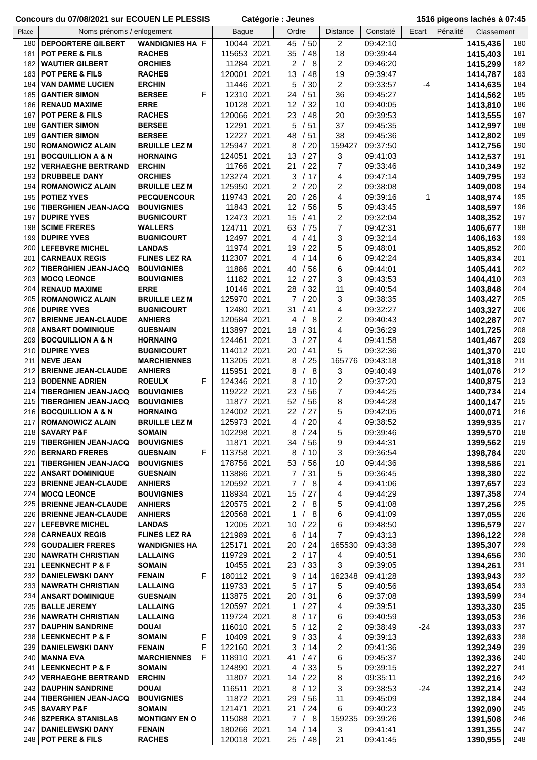| Place      | Noms prénoms / enlogement                               |                                         |        | <b>Bague</b>               | Ordre                  | <b>Distance</b>      | Constaté             | Ecart | Pénalité | Classement           |            |
|------------|---------------------------------------------------------|-----------------------------------------|--------|----------------------------|------------------------|----------------------|----------------------|-------|----------|----------------------|------------|
| 180        | <b>DEPOORTERE GILBERT</b>                               | <b>WANDIGNIES HA F</b>                  |        | 10044 2021                 | 45 / 50                | $\overline{2}$       | 09:42:10             |       |          | 1415,436             | 180        |
| 181        | <b>POT PERE &amp; FILS</b>                              | <b>RACHES</b>                           |        | 115653 2021                | 35 / 48                | 18                   | 09:39:44             |       |          | 1415,403             | 181        |
| 182        | <b>WAUTIER GILBERT</b>                                  | <b>ORCHIES</b>                          |        | 11284 2021                 | 2<br>/8                | 2                    | 09:46:20             |       |          | 1415,299             | 182        |
| 183        | <b>POT PERE &amp; FILS</b>                              | <b>RACHES</b>                           |        | 120001 2021                | 13 / 48                | 19                   | 09:39:47             |       |          | 1414,787             | 183        |
| 184<br>185 | <b>VAN DAMME LUCIEN</b><br><b>GANTIER SIMON</b>         | <b>ERCHIN</b><br><b>BERSEE</b>          | F      | 11446 2021<br>12310 2021   | 5<br>/30<br>24 / 51    | $\overline{2}$<br>36 | 09:33:57<br>09:45:27 | -4    |          | 1414,635             | 184<br>185 |
| 186        | <b>RENAUD MAXIME</b>                                    | <b>ERRE</b>                             |        | 10128 2021                 | 12 / 32                | 10                   | 09:40:05             |       |          | 1414,562<br>1413,810 | 186        |
| 187        | <b>POT PERE &amp; FILS</b>                              | <b>RACHES</b>                           |        | 120066 2021                | 23<br>/48              | 20                   | 09:39:53             |       |          | 1413,555             | 187        |
| 188        | <b>GANTIER SIMON</b>                                    | <b>BERSEE</b>                           |        | 12291 2021                 | 5<br>/51               | 37                   | 09:45:35             |       |          | 1412,997             | 188        |
| 189        | <b>GANTIER SIMON</b>                                    | <b>BERSEE</b>                           |        | 12227 2021                 | 48 / 51                | 38                   | 09:45:36             |       |          | 1412,802             | 189        |
| 190        | <b>ROMANOWICZ ALAIN</b>                                 | <b>BRUILLE LEZ M</b>                    |        | 125947 2021                | 8<br>/20               | 159427               | 09:37:50             |       |          | 1412,756             | 190        |
| 191        | <b>BOCQUILLION A &amp; N</b>                            | <b>HORNAING</b>                         |        | 124051 2021                | 13<br>/27              | 3                    | 09:41:03             |       |          | 1412,537             | 191        |
| 192<br>193 | <b>VERHAEGHE BERTRAND</b><br><b>DRUBBELE DANY</b>       | <b>ERCHIN</b><br><b>ORCHIES</b>         |        | 11766 2021<br>123274 2021  | /22<br>21<br>3<br>/17  | 7<br>4               | 09:33:46<br>09:47:14 |       |          | 1410,349             | 192<br>193 |
| 194        | <b>ROMANOWICZ ALAIN</b>                                 | <b>BRUILLE LEZ M</b>                    |        | 125950 2021                | 2/20                   | 2                    | 09:38:08             |       |          | 1409,795<br>1409,008 | 194        |
| 195        | <b>POTIEZ YVES</b>                                      | <b>PECQUENCOUR</b>                      |        | 119743 2021                | /26<br>20              | 4                    | 09:39:16             | 1     |          | 1408,974             | 195        |
| 196        | <b>TIBERGHIEN JEAN-JACQ</b>                             | <b>BOUVIGNIES</b>                       |        | 11843 2021                 | 12 <sup>°</sup><br>/56 | 5                    | 09:43:45             |       |          | 1408,597             | 196        |
| 197        | <b>DUPIRE YVES</b>                                      | <b>BUGNICOURT</b>                       |        | 12473 2021                 | 15<br>/41              | $\overline{c}$       | 09:32:04             |       |          | 1408,352             | 197        |
| 198        | <b>SCIME FRERES</b>                                     | <b>WALLERS</b>                          |        | 124711 2021                | 63<br>/75              | 7                    | 09:42:31             |       |          | 1406,677             | 198        |
| 199        | <b>DUPIRE YVES</b>                                      | <b>BUGNICOURT</b>                       |        | 12497 2021                 | 4<br>/41               | 3                    | 09:32:14             |       |          | 1406,163             | 199        |
| 200<br>201 | <b>LEFEBVRE MICHEL</b><br><b>CARNEAUX REGIS</b>         | <b>LANDAS</b><br><b>FLINES LEZ RA</b>   |        | 11974 2021<br>112307 2021  | /22<br>19<br>/14<br>4  | 5<br>6               | 09:48:01<br>09:42:24 |       |          | 1405,852             | 200<br>201 |
| 202        | <b>TIBERGHIEN JEAN-JACQ</b>                             | <b>BOUVIGNIES</b>                       |        | 11886 2021                 | /56<br>40              | 6                    | 09:44:01             |       |          | 1405,834<br>1405,441 | 202        |
| 203        | <b>MOCQ LEONCE</b>                                      | <b>BOUVIGNIES</b>                       |        | 11182 2021                 | 12 / 27                | 3                    | 09:43:53             |       |          | 1404,410             | 203        |
| 204        | <b>RENAUD MAXIME</b>                                    | <b>ERRE</b>                             |        | 10146 2021                 | 28 / 32                | 11                   | 09:40:54             |       |          | 1403,848             | 204        |
| 205        | <b>ROMANOWICZ ALAIN</b>                                 | <b>BRUILLE LEZ M</b>                    |        | 125970 2021                | /20<br>$\mathbf{7}$    | 3                    | 09:38:35             |       |          | 1403,427             | 205        |
| 206        | <b>DUPIRE YVES</b>                                      | <b>BUGNICOURT</b>                       |        | 12480 2021                 | 31<br>/41              | 4                    | 09:32:27             |       |          | 1403,327             | 206        |
| 207        | <b>BRIENNE JEAN-CLAUDE</b>                              | <b>ANHIERS</b>                          |        | 120584 2021                | 4<br>- 8               | 2                    | 09:40:43             |       |          | 1402,287             | 207        |
| 208<br>209 | <b>ANSART DOMINIQUE</b><br><b>BOCQUILLION A &amp; N</b> | <b>GUESNAIN</b><br><b>HORNAING</b>      |        | 113897 2021<br>124461 2021 | 18<br>/31<br>/27<br>3  | 4<br>4               | 09:36:29<br>09:41:58 |       |          | 1401,725             | 208<br>209 |
| 210        | <b>DUPIRE YVES</b>                                      | <b>BUGNICOURT</b>                       |        | 114012 2021                | 20/41                  | 5                    | 09:32:36             |       |          | 1401,467<br>1401,370 | 210        |
| 211        | <b>NEVE JEAN</b>                                        | <b>MARCHIENNES</b>                      |        | 113205 2021                | 8<br>25<br>$\prime$    | 165776               | 09:43:18             |       |          | 1401,318             | 211        |
| 212        | <b>BRIENNE JEAN-CLAUDE</b>                              | <b>ANHIERS</b>                          |        | 115951 2021                | $_{\rm 8}$<br>8        | 3                    | 09:40:49             |       |          | 1401,076             | 212        |
| 213        | <b>BODENNE ADRIEN</b>                                   | <b>ROEULX</b>                           | F      | 124346 2021                | 8<br>/10               | 2                    | 09:37:20             |       |          | 1400,875             | 213        |
| 214        | <b>TIBERGHIEN JEAN-JACQ</b>                             | <b>BOUVIGNIES</b>                       |        | 119222 2021                | 23<br>/56              | 7                    | 09:44:25             |       |          | 1400,734             | 214        |
| 215        | <b>TIBERGHIEN JEAN-JACQ</b>                             | <b>BOUVIGNIES</b>                       |        | 11877 2021                 | 52<br>/56              | 8                    | 09:44:28             |       |          | 1400,147             | 215        |
| 216<br>217 | <b>BOCQUILLION A &amp; N</b><br><b>ROMANOWICZ ALAIN</b> | <b>HORNAING</b><br><b>BRUILLE LEZ M</b> |        | 124002 2021<br>125973 2021 | 22<br>/27<br>4 / 20    | 5<br>4               | 09:42:05<br>09:38:52 |       |          | 1400,071<br>1399,935 | 216<br>217 |
|            | 218 SAVARY P&F                                          | <b>SOMAIN</b>                           |        | 102298 2021                | 8 / 24                 | 5                    | 09:39:46             |       |          | 1399,570             | 218        |
| 219        | <b>TIBERGHIEN JEAN-JACQ</b>                             | <b>BOUVIGNIES</b>                       |        | 11871 2021                 | 34 / 56                | 9                    | 09:44:31             |       |          | 1399,562             | 219        |
| 220        | <b>BERNARD FRERES</b>                                   | <b>GUESNAIN</b>                         | F      | 113758 2021                | 8 / 10                 | 3                    | 09:36:54             |       |          | 1398,784             | 220        |
| 221        | <b>TIBERGHIEN JEAN-JACQ</b>                             | <b>BOUVIGNIES</b>                       |        | 178756 2021                | 53 / 56                | 10                   | 09:44:36             |       |          | 1398,586             | 221        |
| 222        | <b>ANSART DOMINIQUE</b>                                 | <b>GUESNAIN</b>                         |        | 113886 2021                | 7 / 31                 | 5                    | 09:36:45             |       |          | 1398,380             | 222        |
| 223        | <b>BRIENNE JEAN-CLAUDE</b><br>224   MOCQ LEONCE         | <b>ANHIERS</b><br><b>BOUVIGNIES</b>     |        | 120592 2021<br>118934 2021 | 7/8<br>15 / 27         | 4<br>4               | 09:41:06<br>09:44:29 |       |          | 1397,657<br>1397,358 | 223<br>224 |
|            | 225   BRIENNE JEAN-CLAUDE                               | <b>ANHIERS</b>                          |        | 120575 2021                | 2/8                    | 5                    | 09:41:08             |       |          | 1397,256             | 225        |
|            | 226   BRIENNE JEAN-CLAUDE                               | <b>ANHIERS</b>                          |        | 120568 2021                | 1 / 8                  | 6                    | 09:41:09             |       |          | 1397,055             | 226        |
|            | 227 LEFEBVRE MICHEL                                     | <b>LANDAS</b>                           |        | 12005 2021                 | 10 / 22                | 6                    | 09:48:50             |       |          | 1396,579             | 227        |
|            | 228 CARNEAUX REGIS                                      | <b>FLINES LEZ RA</b>                    |        | 121989 2021                | 6 / 14                 | $\overline{7}$       | 09:43:13             |       |          | 1396,122             | 228        |
|            | 229 GOUDALIER FRERES                                    | <b>WANDIGNIES HA</b>                    |        | 125171 2021                | 20 / 24                | 165530               | 09:43:38             |       |          | 1395,307             | 229        |
|            | 230 NAWRATH CHRISTIAN<br><b>LEENKNECHT P &amp; F</b>    | <b>LALLAING</b><br><b>SOMAIN</b>        |        | 119729 2021                | 2/17<br>23 / 33        | 4                    | 09:40:51             |       |          | 1394,656             | 230<br>231 |
| $231 \mid$ | 232 DANIELEWSKI DANY                                    | <b>FENAIN</b>                           | F      | 10455 2021<br>180112 2021  | 9<br>/14               | 3<br>162348          | 09:39:05<br>09:41:28 |       |          | 1394,261<br>1393,943 | 232        |
|            | 233 NAWRATH CHRISTIAN                                   | <b>LALLAING</b>                         |        | 119733 2021                | 5<br>/17               | 5                    | 09:40:56             |       |          | 1393,654             | 233        |
|            | 234   ANSART DOMINIQUE                                  | <b>GUESNAIN</b>                         |        | 113875 2021                | 20 / 31                | 6                    | 09:37:08             |       |          | 1393,599             | 234        |
|            | 235   BALLE JEREMY                                      | <b>LALLAING</b>                         |        | 120597 2021                | 1 / 27                 | 4                    | 09:39:51             |       |          | 1393,330             | 235        |
|            | 236   NAWRATH CHRISTIAN                                 | <b>LALLAING</b>                         |        | 119724 2021                | 8<br>/ 17              | 6                    | 09:40:59             |       |          | 1393,053             | 236        |
| 237        | <b>DAUPHIN SANDRINE</b>                                 | <b>DOUAI</b>                            |        | 116010 2021                | 5/12                   | 2                    | 09:38:49             | $-24$ |          | 1393,033             | 237        |
| 239        | 238 LEENKNECHT P & F<br><b>DANIELEWSKI DANY</b>         | <b>SOMAIN</b><br><b>FENAIN</b>          | F<br>F | 10409 2021<br>122160 2021  | /33<br>9<br>/14<br>3   | 4<br>2               | 09:39:13<br>09:41:36 |       |          | 1392,633<br>1392,349 | 238<br>239 |
| 240        | <b>MANNA EVA</b>                                        | <b>MARCHIENNES</b>                      | F      | 118910 2021                | 41 / 47                | 6                    | 09:45:37             |       |          | 1392,336             | 240        |
| 241        | <b>LEENKNECHT P &amp; F</b>                             | <b>SOMAIN</b>                           |        | 124890 2021                | 4 / 33                 | 5                    | 09:39:15             |       |          | 1392,227             | 241        |
|            | 242   VERHAEGHE BERTRAND                                | <b>ERCHIN</b>                           |        | 11807 2021                 | 14 / 22                | 8                    | 09:35:11             |       |          | 1392,216             | 242        |
|            | 243 DAUPHIN SANDRINE                                    | <b>DOUAI</b>                            |        | 116511 2021                | 8<br>/12               | 3                    | 09:38:53             | $-24$ |          | 1392,214             | 243        |
|            | 244   TIBERGHIEN JEAN-JACQ                              | <b>BOUVIGNIES</b>                       |        | 11872 2021                 | 29/56                  | 11                   | 09:45:09             |       |          | 1392,184             | 244        |
|            | 245   <b>SAVARY P&amp;F</b><br>246   SZPERKA STANISLAS  | <b>SOMAIN</b><br><b>MONTIGNY EN O</b>   |        | 121471 2021<br>115088 2021 | 21 / 24<br>7/8         | 6<br>159235          | 09:40:23<br>09:39:26 |       |          | 1392,090<br>1391,508 | 245<br>246 |
| 247        | <b>DANIELEWSKI DANY</b>                                 | <b>FENAIN</b>                           |        | 180266 2021                | 14 / 14                | 3                    | 09:41:41             |       |          | 1391,355             | 247        |
|            | 248 POT PERE & FILS                                     | <b>RACHES</b>                           |        | 120018 2021                | 25 / 48                | 21                   | 09:41:45             |       |          | 1390,955             | 248        |
|            |                                                         |                                         |        |                            |                        |                      |                      |       |          |                      |            |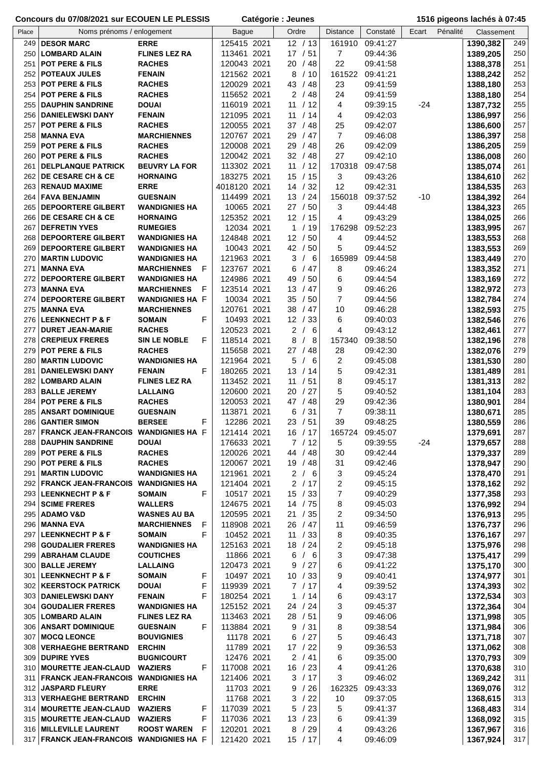|       | Concours du 07/08/2021 sur ECOUEN LE PLESSIS       |                                 |    | Catégorie : Jeunes         |                              |  |                              | 1516 pigeons lachés à 07:45 |       |          |                      |            |
|-------|----------------------------------------------------|---------------------------------|----|----------------------------|------------------------------|--|------------------------------|-----------------------------|-------|----------|----------------------|------------|
| Place | Noms prénoms / enlogement                          |                                 |    | <b>Bague</b>               | Ordre                        |  | <b>Distance</b>              | Constaté                    | Ecart | Pénalité | Classement           |            |
| 249   | <b>DESOR MARC</b>                                  | <b>ERRE</b>                     |    | 125415 2021                | 12 / 13                      |  | 161910                       | 09:41:27                    |       |          | 1390,382             | 249        |
| 250   | <b>LOMBARD ALAIN</b>                               | <b>FLINES LEZ RA</b>            |    | 113461 2021                | 17 / 51                      |  | 7                            | 09:44:36                    |       |          | 1389,205             | 250        |
| 251   | <b>POT PERE &amp; FILS</b>                         | <b>RACHES</b>                   |    | 120043 2021                | 20/48                        |  | 22                           | 09:41:58                    |       |          | 1388,378             | 251        |
|       | 252 POTEAUX JULES                                  | <b>FENAIN</b>                   |    | 121562 2021                | 8 / 10                       |  | 161522                       | 09:41:21                    |       |          | 1388,242             | 252        |
| 253   | <b>POT PERE &amp; FILS</b>                         | <b>RACHES</b>                   |    | 120029 2021                | 43 / 48                      |  | 23                           | 09:41:59                    |       |          | 1388,180             | 253        |
| 254   | POT PERE & FILS                                    | <b>RACHES</b>                   |    | 115652 2021                | 2 / 48                       |  | 24                           | 09:41:59                    |       |          | 1388,180             | 254        |
| 255   | <b>DAUPHIN SANDRINE</b>                            | <b>DOUAI</b>                    |    | 116019 2021                | 11<br>/12                    |  | 4                            | 09:39:15                    | $-24$ |          | 1387,732             | 255        |
| 256   | <b>DANIELEWSKI DANY</b>                            | <b>FENAIN</b>                   |    | 121095 2021                | 11<br>/14                    |  | 4                            | 09:42:03                    |       |          | 1386,997             | 256        |
| 257   | POT PERE & FILS                                    | <b>RACHES</b>                   |    | 120055 2021                | 37 / 48                      |  | 25                           | 09:42:07                    |       |          | 1386,600             | 257        |
| 258   | <b>MANNA EVA</b>                                   | <b>MARCHIENNES</b>              |    | 120767 2021                | 29<br>/47                    |  | $\overline{7}$               | 09:46:08                    |       |          | 1386,397             | 258        |
| 259   | POT PERE & FILS                                    | <b>RACHES</b>                   |    | 120008 2021                | 29<br>/48                    |  | 26                           | 09:42:09                    |       |          | 1386,205             | 259        |
| 260   | <b>POT PERE &amp; FILS</b>                         | <b>RACHES</b>                   |    | 120042 2021                | 32 / 48                      |  | 27                           | 09:42:10                    |       |          | 1386,008             | 260        |
| 261   | <b>DELPLANQUE PATRICK</b>                          | <b>BEUVRY LA FOR</b>            |    | 113302 2021                | 11 / 12                      |  | 170318                       | 09:47:58                    |       |          | 1385,074             | 261        |
| 262   | <b>DE CESARE CH &amp; CE</b>                       | <b>HORNAING</b>                 |    | 183275 2021                | 15 / 15                      |  | 3                            | 09:43:26                    |       |          | 1384,610             | 262        |
| 263   | <b>RENAUD MAXIME</b>                               | <b>ERRE</b>                     |    | 4018120 2021               | 14 / 32                      |  | 12                           | 09:42:31                    |       |          | 1384,535             | 263        |
| 264   | <b>FAVA BENJAMIN</b>                               | <b>GUESNAIN</b>                 |    | 114499 2021                | 13 / 24                      |  | 156018                       | 09:37:52                    | $-10$ |          | 1384,392             | 264        |
| 265   | <b>DEPOORTERE GILBERT</b>                          | <b>WANDIGNIES HA</b>            |    | 10065 2021                 | 27/50                        |  | 3                            | 09:44:48                    |       |          | 1384,323             | 265        |
| 266   | <b>DE CESARE CH &amp; CE</b>                       | <b>HORNAING</b>                 |    | 125352 2021                | 12 / 15                      |  | 4                            | 09:43:29                    |       |          | 1384,025             | 266        |
| 267   | <b>DEFRETIN YVES</b>                               | <b>RUMEGIES</b>                 |    | 12034 2021                 | 1 / 19                       |  | 176298                       | 09:52:23                    |       |          | 1383,995             | 267        |
| 268   | <b>DEPOORTERE GILBERT</b>                          | <b>WANDIGNIES HA</b>            |    | 124848 2021                | 12 / 50                      |  | 4                            | 09:44:52                    |       |          | 1383,553             | 268        |
| 269   | <b>DEPOORTERE GILBERT</b>                          | <b>WANDIGNIES HA</b>            |    | 10043 2021                 | 42 / 50                      |  | 5                            | 09:44:52                    |       |          | 1383,553             | 269        |
| 270   | <b>MARTIN LUDOVIC</b>                              | <b>WANDIGNIES HA</b>            |    | 121963 2021                | 3/6                          |  | 165989                       | 09:44:58                    |       |          | 1383,449             | 270        |
| 271   | <b>MANNA EVA</b>                                   | <b>MARCHIENNES F</b>            |    | 123767 2021                | 6<br>/47                     |  | 8                            | 09:46:24                    |       |          | 1383,352             | 271        |
| 272   | DEPOORTERE GILBERT                                 | <b>WANDIGNIES HA</b>            |    | 124986 2021                | 49 / 50                      |  | 6                            | 09:44:54                    |       |          | 1383,169             | 272        |
| 273   | <b>MANNA EVA</b>                                   | <b>MARCHIENNES</b><br>- F       |    | 123514 2021                | 13<br>/47                    |  | 9                            | 09:46:26                    |       |          | 1382,972             | 273        |
| 274   | <b>DEPOORTERE GILBERT</b>                          | <b>WANDIGNIES HA F</b>          |    | 10034 2021                 | 35<br>/50                    |  | 7                            | 09:44:56                    |       |          | 1382,784             | 274        |
| 275   | <b>MANNA EVA</b>                                   | <b>MARCHIENNES</b>              |    | 120761 2021                | 38<br>/47                    |  | 10                           | 09:46:28                    |       |          | 1382,593             | 275        |
| 276   | <b>LEENKNECHT P &amp; F</b>                        | <b>SOMAIN</b>                   | F  | 10493 2021                 | 12 / 33                      |  | 6                            | 09:40:03                    |       |          | 1382,546             | 276        |
| 277   | <b>DURET JEAN-MARIE</b>                            | <b>RACHES</b>                   |    | 120523 2021                | $\overline{2}$<br>/6         |  | 4                            | 09:43:12                    |       |          | 1382,461             | 277        |
| 278   | <b>CREPIEUX FRERES</b>                             | <b>SIN LE NOBLE</b>             | F  | 118514 2021                | 8<br>/8                      |  | 157340                       | 09:38:50                    |       |          | 1382,196             | 278        |
| 279   | <b>POT PERE &amp; FILS</b>                         | <b>RACHES</b>                   |    | 115658 2021                | 27 / 48                      |  | 28                           | 09:42:30                    |       |          | 1382,076             | 279        |
| 280   | <b>MARTIN LUDOVIC</b>                              | <b>WANDIGNIES HA</b>            |    | 121964 2021                | 5<br>/6                      |  | 2                            | 09:45:08                    |       |          | 1381,530             | 280        |
| 281   | <b>DANIELEWSKI DANY</b>                            | <b>FENAIN</b>                   | F  | 180265 2021                | 13 / 14                      |  | 5                            | 09:42:31                    |       |          | 1381,489             | 281        |
| 282   | <b>LOMBARD ALAIN</b>                               | <b>FLINES LEZ RA</b>            |    | 113452 2021                | 11<br>/51                    |  | 8                            | 09:45:17                    |       |          | 1381,313             | 282        |
| 283   | <b>BALLE JEREMY</b>                                | <b>LALLAING</b>                 |    | 120600 2021                | /27<br>20                    |  | 5                            | 09:40:52                    |       |          | 1381,104             | 283        |
| 284   | <b>POT PERE &amp; FILS</b>                         | <b>RACHES</b>                   |    | 120053 2021                | 47<br>/48                    |  | 29                           | 09:42:36                    |       |          | 1380,901             | 284        |
| 285   | <b>ANSART DOMINIQUE</b>                            | <b>GUESNAIN</b>                 |    | 113871 2021                | 6 / 31                       |  | $\overline{7}$               | 09:38:11                    |       |          | 1380,671             | 285        |
|       | 286   GANTIER SIMON                                | <b>BERSEE</b>                   | F. | 12286 2021                 | 23 / 51                      |  | 39                           | 09:48:25                    |       |          | 1380,559             | 286        |
| 287   | FRANCK JEAN-FRANCOIS WANDIGNIES HA F               |                                 |    | 121414 2021                | 16 / 17                      |  | 165724                       | 09:45:07                    |       |          | 1379,691             | 287        |
| 288   | <b>DAUPHIN SANDRINE</b>                            | <b>DOUAI</b>                    |    | 176633 2021                | 7/12                         |  | 5                            | 09:39:55                    | $-24$ |          | 1379,657             | 288        |
| 289   | <b>POT PERE &amp; FILS</b>                         | <b>RACHES</b>                   |    | 120026 2021                | 44 / 48                      |  | 30                           | 09:42:44                    |       |          | 1379,337             | 289        |
| 290   | <b>POT PERE &amp; FILS</b>                         | <b>RACHES</b>                   |    | 120067 2021                | 19/48                        |  | 31                           | 09:42:46                    |       |          | 1378,947             | 290        |
| 291   | <b>MARTIN LUDOVIC</b>                              | <b>WANDIGNIES HA</b>            |    | 121961 2021<br>121404 2021 | $\overline{2}$<br>/6<br>2/17 |  | 3                            | 09:45:24                    |       |          | 1378,470             | 291        |
| 293   | 292 FRANCK JEAN-FRANCOIS WANDIGNIES HA             |                                 | F  | 10517 2021                 | 15 / 33                      |  | $\overline{\mathbf{c}}$<br>7 | 09:45:15<br>09:40:29        |       |          | 1378,162             | 292<br>293 |
| 294   | <b>LEENKNECHT P &amp; F</b><br><b>SCIME FRERES</b> | <b>SOMAIN</b><br><b>WALLERS</b> |    | 124675 2021                | 14 / 75                      |  | 8                            | 09:45:03                    |       |          | 1377,358             | 294        |
|       | 295   ADAMO V&D                                    | <b>WASNES AU BA</b>             |    | 120595 2021                | 21 / 35                      |  | 2                            | 09:34:50                    |       |          | 1376,992<br>1376,913 | 295        |
|       | 296   MANNA EVA                                    | <b>MARCHIENNES</b><br>-F        |    | 118908 2021                | 26 / 47                      |  | 11                           | 09:46:59                    |       |          | 1376,737             | 296        |
| 297   | <b>LEENKNECHT P &amp; F</b>                        | <b>SOMAIN</b>                   | F  | 10452 2021                 | 11 / 33                      |  | 8                            | 09:40:35                    |       |          | 1376,167             | 297        |
|       | 298 GOUDALIER FRERES                               | <b>WANDIGNIES HA</b>            |    | 125163 2021                | 18 / 24                      |  | 2                            | 09:45:18                    |       |          | 1375,976             | 298        |
| 299   | <b>ABRAHAM CLAUDE</b>                              | <b>COUTICHES</b>                |    | 11866 2021                 | 6/6                          |  | 3                            | 09:47:38                    |       |          | 1375,417             | 299        |
|       | 300 BALLE JEREMY                                   | <b>LALLAING</b>                 |    | 120473 2021                | 9 / 27                       |  | 6                            | 09:41:22                    |       |          | 1375,170             | 300        |
| 301   | <b>LEENKNECHT P &amp; F</b>                        | <b>SOMAIN</b>                   | F  | 10497 2021                 | 10 / 33                      |  | 9                            | 09:40:41                    |       |          | 1374,977             | 301        |
|       | 302   KEERSTOCK PATRICK                            | <b>DOUAI</b>                    | F  | 119939 2021                | 7/17                         |  | 4                            | 09:39:52                    |       |          | 1374,393             | 302        |
|       | 303   DANIELEWSKI DANY                             | <b>FENAIN</b>                   | F  | 180254 2021                | 1 / 14                       |  | 6                            | 09:43:17                    |       |          | 1372,534             | 303        |
|       | 304 GOUDALIER FRERES                               | <b>WANDIGNIES HA</b>            |    | 125152 2021                | 24 / 24                      |  | 3                            | 09:45:37                    |       |          | 1372,364             | 304        |
|       | 305   LOMBARD ALAIN                                | <b>FLINES LEZ RA</b>            |    | 113463 2021                | 28 / 51                      |  | 9                            | 09:46:06                    |       |          | 1371,998             | 305        |
|       | 306   ANSART DOMINIQUE                             | <b>GUESNAIN</b>                 | F  | 113884 2021                | 9 / 31                       |  | 8                            | 09:38:54                    |       |          | 1371,984             | 306        |
| 307   | <b>MOCQ LEONCE</b>                                 | <b>BOUVIGNIES</b>               |    | 11178 2021                 | 6 / 27                       |  | 5                            | 09:46:43                    |       |          | 1371,718             | 307        |
| 308   | <b>VERHAEGHE BERTRAND</b>                          | <b>ERCHIN</b>                   |    | 11789 2021                 | 17 / 22                      |  | 9                            | 09:36:53                    |       |          | 1371,062             | 308        |
| 309   | <b>DUPIRE YVES</b>                                 | <b>BUGNICOURT</b>               |    | 12476 2021                 | 2 / 41                       |  | 6                            | 09:35:00                    |       |          | 1370,793             | 309        |
|       | 310   MOURETTE JEAN-CLAUD                          | <b>WAZIERS</b>                  | F. | 117008 2021                | 16 / 23                      |  | 4                            | 09:41:26                    |       |          | 1370,638             | 310        |
| 311   | <b>FRANCK JEAN-FRANCOIS WANDIGNIES HA</b>          |                                 |    | 121406 2021                | 3 / 17                       |  | 3                            | 09:46:02                    |       |          | 1369,242             | 311        |
|       | 312 JASPARD FLEURY                                 | <b>ERRE</b>                     |    | 11703 2021                 | 9 / 26                       |  | 162325                       | 09:43:33                    |       |          | 1369,076             | 312        |
|       | 313 VERHAEGHE BERTRAND                             | <b>ERCHIN</b>                   |    | 11768 2021                 | 3 / 22                       |  | 10                           | 09:37:05                    |       |          | 1368,615             | 313        |
| 314   | <b>MOURETTE JEAN-CLAUD</b>                         | <b>WAZIERS</b>                  | F  | 117039 2021                | 5/23                         |  | 5                            | 09:41:37                    |       |          | 1368,483             | 314        |
|       | 315   MOURETTE JEAN-CLAUD                          | <b>WAZIERS</b>                  | F  | 117036 2021                | 13 / 23                      |  | 6                            | 09:41:39                    |       |          | 1368,092             | 315        |
|       | 316 MILLEVILLE LAURENT                             | <b>ROOST WAREN</b>              | F  | 120201 2021                | 8 / 29                       |  | 4                            | 09:43:26                    |       |          | 1367,967             | 316        |
|       | 317 FRANCK JEAN-FRANCOIS WANDIGNIES HA F           |                                 |    | 121420 2021                | 15 / 17                      |  | 4                            | 09:46:09                    |       |          | 1367,924             | 317        |